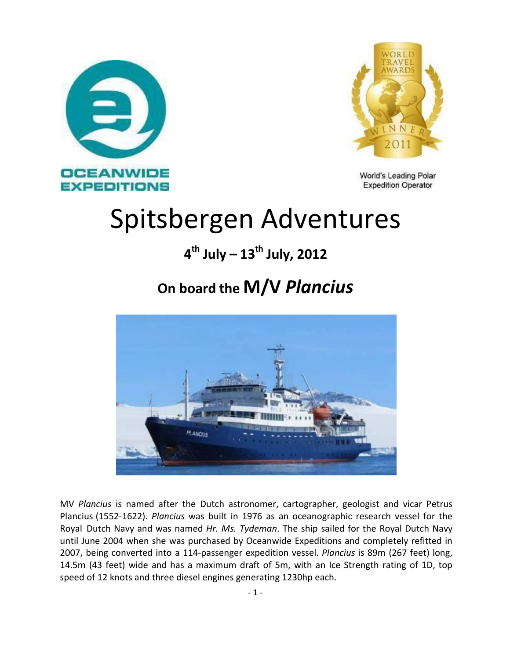



World's Leading Polar **Expedition Operator** 

# Spitsbergen Adventures

### **4 th July – 13th July, 2012**

### **On board the M/V** *Plancius*



MV *Plancius* is named after the Dutch astronomer, cartographer, geologist and vicar Petrus Plancius (1552-1622). *Plancius* was built in 1976 as an oceanographic research vessel for the Royal Dutch Navy and was named *Hr. Ms. Tydeman*. The ship sailed for the Royal Dutch Navy until June 2004 when she was purchased by Oceanwide Expeditions and completely refitted in 2007, being converted into a 114-passenger expedition vessel. *Plancius* is 89m (267 feet) long, 14.5m (43 feet) wide and has a maximum draft of 5m, with an Ice Strength rating of 1D, top speed of 12 knots and three diesel engines generating 1230hp each.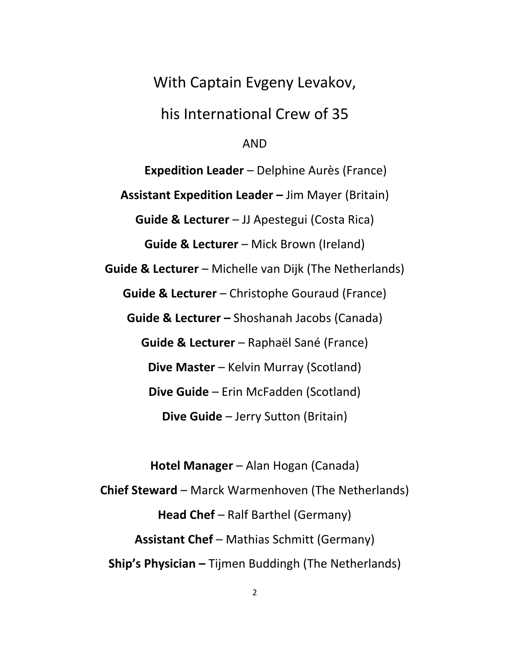#### With Captain Evgeny Levakov,

#### his International Crew of 35

#### AND

**Expedition Leader** – Delphine Aurès (France) **Assistant Expedition Leader –** Jim Mayer (Britain) **Guide & Lecturer** – JJ Apestegui (Costa Rica) **Guide & Lecturer** – Mick Brown (Ireland) **Guide & Lecturer** – Michelle van Dijk (The Netherlands) **Guide & Lecturer** – Christophe Gouraud (France) **Guide & Lecturer –** Shoshanah Jacobs (Canada) **Guide & Lecturer** – Raphaël Sané (France) **Dive Master** – Kelvin Murray (Scotland) **Dive Guide** – Erin McFadden (Scotland) **Dive Guide** – Jerry Sutton (Britain)

**Hotel Manager** – Alan Hogan (Canada) **Chief Steward** – Marck Warmenhoven (The Netherlands) **Head Chef** – Ralf Barthel (Germany) **Assistant Chef** – Mathias Schmitt (Germany) **Ship's Physician –** Tijmen Buddingh (The Netherlands)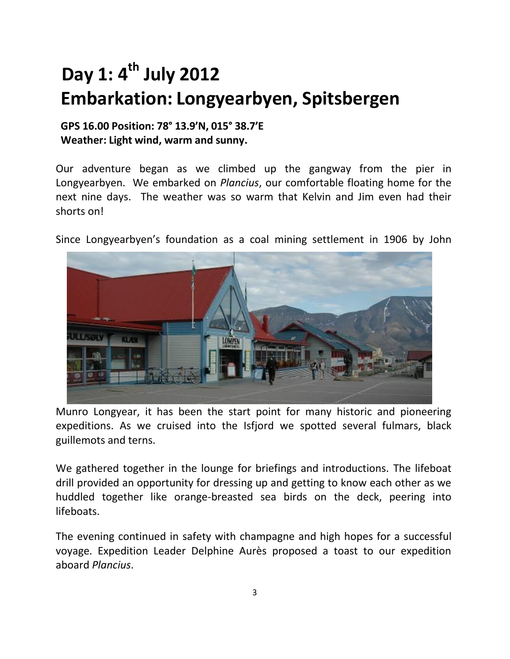## **Day 1: 4 th July 2012 Embarkation: Longyearbyen, Spitsbergen**

#### **GPS 16.00 Position: 78° 13.9'N, 015° 38.7'E Weather: Light wind, warm and sunny.**

Our adventure began as we climbed up the gangway from the pier in Longyearbyen. We embarked on *Plancius*, our comfortable floating home for the next nine days. The weather was so warm that Kelvin and Jim even had their shorts on!

Since Longyearbyen's foundation as a coal mining settlement in 1906 by John



Munro Longyear, it has been the start point for many historic and pioneering expeditions. As we cruised into the Isfjord we spotted several fulmars, black guillemots and terns.

We gathered together in the lounge for briefings and introductions. The lifeboat drill provided an opportunity for dressing up and getting to know each other as we huddled together like orange-breasted sea birds on the deck, peering into lifeboats.

The evening continued in safety with champagne and high hopes for a successful voyage. Expedition Leader Delphine Aurès proposed a toast to our expedition aboard *Plancius*.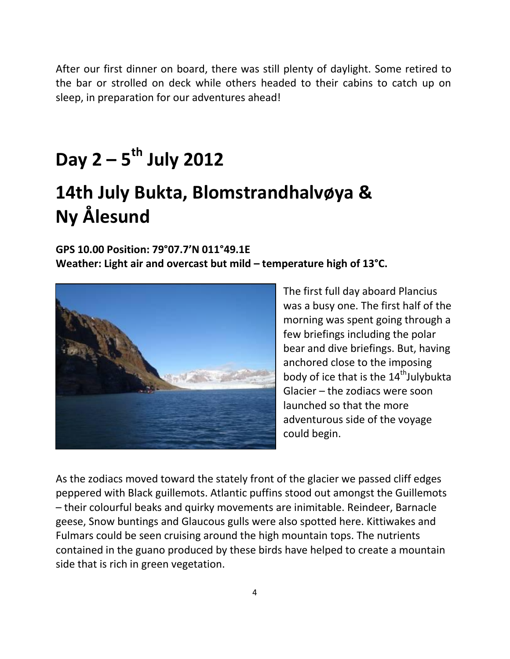After our first dinner on board, there was still plenty of daylight. Some retired to the bar or strolled on deck while others headed to their cabins to catch up on sleep, in preparation for our adventures ahead!

## **Day 2 – 5 th July 2012**

### **14th July Bukta, Blomstrandhalvøya & Ny Ålesund**

#### **GPS 10.00 Position: 79°07.7'N 011°49.1E Weather: Light air and overcast but mild – temperature high of 13°C.**



The first full day aboard Plancius was a busy one. The first half of the morning was spent going through a few briefings including the polar bear and dive briefings. But, having anchored close to the imposing body of ice that is the  $14^{\text{th}}$ Julybukta Glacier – the zodiacs were soon launched so that the more adventurous side of the voyage could begin.

As the zodiacs moved toward the stately front of the glacier we passed cliff edges peppered with Black guillemots. Atlantic puffins stood out amongst the Guillemots – their colourful beaks and quirky movements are inimitable. Reindeer, Barnacle geese, Snow buntings and Glaucous gulls were also spotted here. Kittiwakes and Fulmars could be seen cruising around the high mountain tops. The nutrients contained in the guano produced by these birds have helped to create a mountain side that is rich in green vegetation.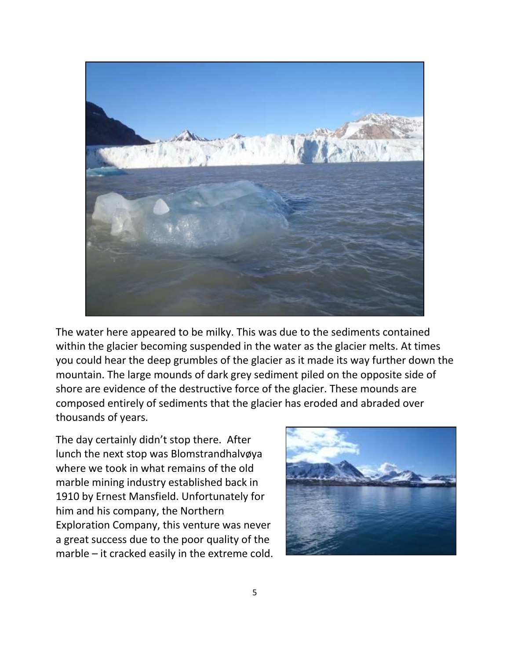

The water here appeared to be milky. This was due to the sediments contained within the glacier becoming suspended in the water as the glacier melts. At times you could hear the deep grumbles of the glacier as it made its way further down the mountain. The large mounds of dark grey sediment piled on the opposite side of shore are evidence of the destructive force of the glacier. These mounds are composed entirely of sediments that the glacier has eroded and abraded over thousands of years.

The day certainly didn't stop there. After lunch the next stop was Blomstrandhalvøya where we took in what remains of the old marble mining industry established back in 1910 by Ernest Mansfield. Unfortunately for him and his company, the Northern Exploration Company, this venture was never a great success due to the poor quality of the marble – it cracked easily in the extreme cold.

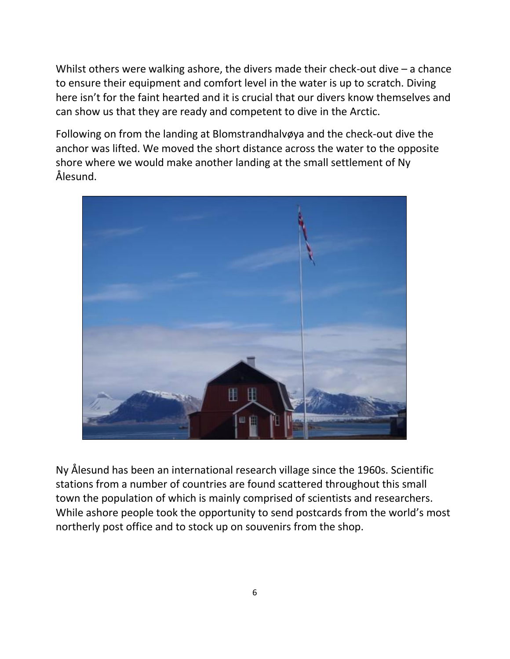Whilst others were walking ashore, the divers made their check-out dive – a chance to ensure their equipment and comfort level in the water is up to scratch. Diving here isn't for the faint hearted and it is crucial that our divers know themselves and can show us that they are ready and competent to dive in the Arctic.

Following on from the landing at Blomstrandhalvøya and the check-out dive the anchor was lifted. We moved the short distance across the water to the opposite shore where we would make another landing at the small settlement of Ny Ålesund.



Ny Ålesund has been an international research village since the 1960s. Scientific stations from a number of countries are found scattered throughout this small town the population of which is mainly comprised of scientists and researchers. While ashore people took the opportunity to send postcards from the world's most northerly post office and to stock up on souvenirs from the shop.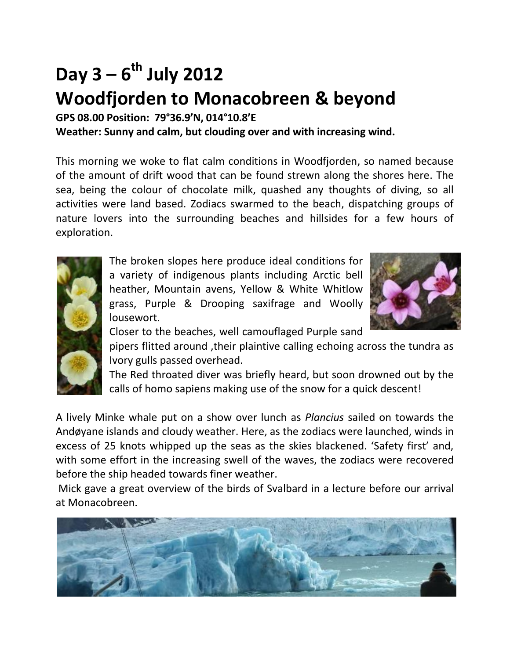## **Day 3 – 6 th July 2012 Woodfjorden to Monacobreen & beyond**

**GPS 08.00 Position: 79°36.9'N, 014°10.8'E**

**Weather: Sunny and calm, but clouding over and with increasing wind.**

This morning we woke to flat calm conditions in Woodfjorden, so named because of the amount of drift wood that can be found strewn along the shores here. The sea, being the colour of chocolate milk, quashed any thoughts of diving, so all activities were land based. Zodiacs swarmed to the beach, dispatching groups of nature lovers into the surrounding beaches and hillsides for a few hours of exploration.



The broken slopes here produce ideal conditions for a variety of indigenous plants including Arctic bell heather, Mountain avens, Yellow & White Whitlow grass, Purple & Drooping saxifrage and Woolly lousewort.



Closer to the beaches, well camouflaged Purple sand

pipers flitted around ,their plaintive calling echoing across the tundra as Ivory gulls passed overhead.

The Red throated diver was briefly heard, but soon drowned out by the calls of homo sapiens making use of the snow for a quick descent!

A lively Minke whale put on a show over lunch as *Plancius* sailed on towards the Andøyane islands and cloudy weather. Here, as the zodiacs were launched, winds in excess of 25 knots whipped up the seas as the skies blackened. 'Safety first' and, with some effort in the increasing swell of the waves, the zodiacs were recovered before the ship headed towards finer weather.

Mick gave a great overview of the birds of Svalbard in a lecture before our arrival at Monacobreen.

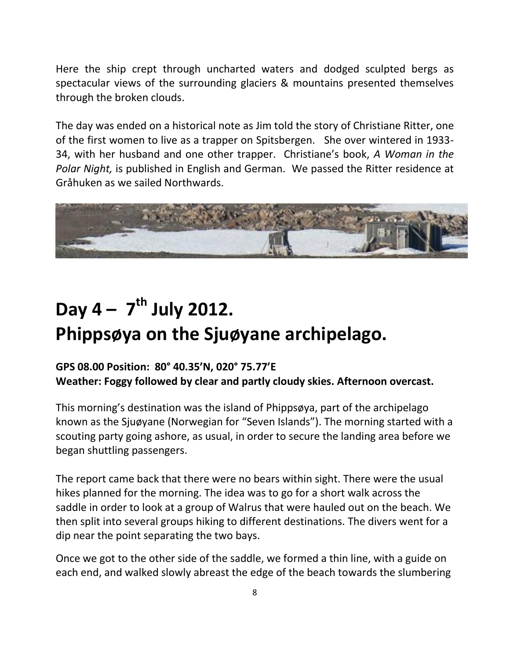Here the ship crept through uncharted waters and dodged sculpted bergs as spectacular views of the surrounding glaciers & mountains presented themselves through the broken clouds.

The day was ended on a historical note as Jim told the story of Christiane Ritter, one of the first women to live as a trapper on Spitsbergen. She over wintered in 1933- 34, with her husband and one other trapper. Christiane's book, *A Woman in the Polar Night,* is published in English and German. We passed the Ritter residence at Gråhuken as we sailed Northwards.



## **Day 4 – 7 th July 2012. Phippsøya on the Sjuøyane archipelago.**

#### **GPS 08.00 Position: 80° 40.35'N, 020° 75.77'E Weather: Foggy followed by clear and partly cloudy skies. Afternoon overcast.**

This morning's destination was the island of Phippsøya, part of the archipelago known as the Sjuøyane (Norwegian for "Seven Islands"). The morning started with a scouting party going ashore, as usual, in order to secure the landing area before we began shuttling passengers.

The report came back that there were no bears within sight. There were the usual hikes planned for the morning. The idea was to go for a short walk across the saddle in order to look at a group of Walrus that were hauled out on the beach. We then split into several groups hiking to different destinations. The divers went for a dip near the point separating the two bays.

Once we got to the other side of the saddle, we formed a thin line, with a guide on each end, and walked slowly abreast the edge of the beach towards the slumbering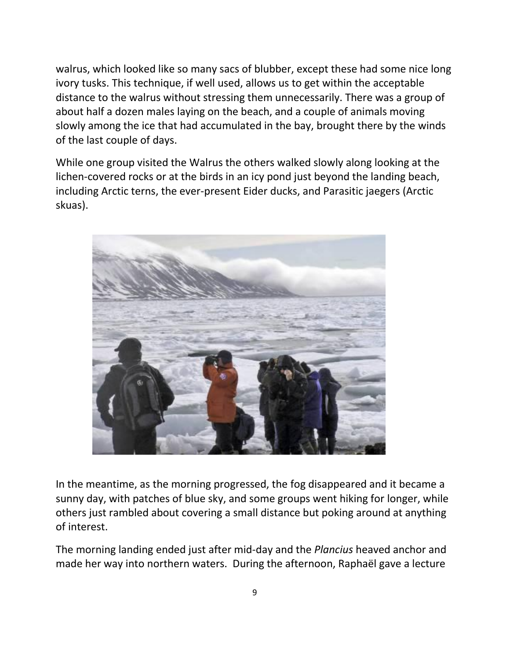walrus, which looked like so many sacs of blubber, except these had some nice long ivory tusks. This technique, if well used, allows us to get within the acceptable distance to the walrus without stressing them unnecessarily. There was a group of about half a dozen males laying on the beach, and a couple of animals moving slowly among the ice that had accumulated in the bay, brought there by the winds of the last couple of days.

While one group visited the Walrus the others walked slowly along looking at the lichen-covered rocks or at the birds in an icy pond just beyond the landing beach, including Arctic terns, the ever-present Eider ducks, and Parasitic jaegers (Arctic skuas).



In the meantime, as the morning progressed, the fog disappeared and it became a sunny day, with patches of blue sky, and some groups went hiking for longer, while others just rambled about covering a small distance but poking around at anything of interest.

The morning landing ended just after mid-day and the *Plancius* heaved anchor and made her way into northern waters. During the afternoon, Raphaël gave a lecture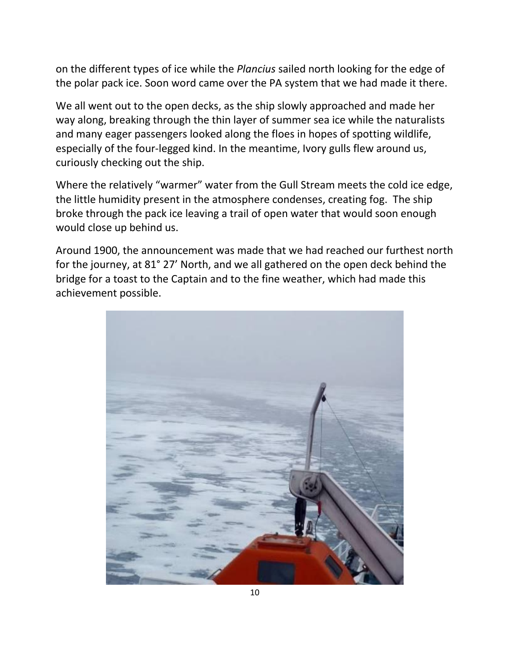on the different types of ice while the *Plancius* sailed north looking for the edge of the polar pack ice. Soon word came over the PA system that we had made it there.

We all went out to the open decks, as the ship slowly approached and made her way along, breaking through the thin layer of summer sea ice while the naturalists and many eager passengers looked along the floes in hopes of spotting wildlife, especially of the four-legged kind. In the meantime, Ivory gulls flew around us, curiously checking out the ship.

Where the relatively "warmer" water from the Gull Stream meets the cold ice edge, the little humidity present in the atmosphere condenses, creating fog. The ship broke through the pack ice leaving a trail of open water that would soon enough would close up behind us.

Around 1900, the announcement was made that we had reached our furthest north for the journey, at 81° 27' North, and we all gathered on the open deck behind the bridge for a toast to the Captain and to the fine weather, which had made this achievement possible.

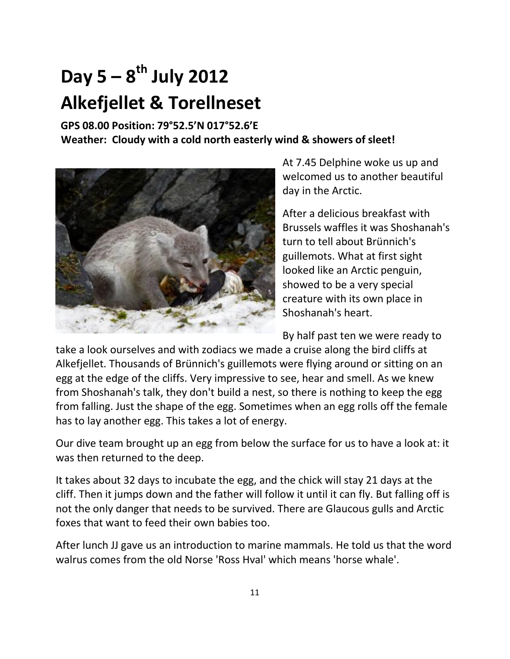## **Day 5 – 8 th July 2012 Alkefjellet & Torellneset**

**GPS 08.00 Position: 79°52.5'N 017°52.6'E Weather: Cloudy with a cold north easterly wind & showers of sleet!**



At 7.45 Delphine woke us up and welcomed us to another beautiful day in the Arctic.

After a delicious breakfast with Brussels waffles it was Shoshanah's turn to tell about Brünnich's guillemots. What at first sight looked like an Arctic penguin, showed to be a very special creature with its own place in Shoshanah's heart.

By half past ten we were ready to

take a look ourselves and with zodiacs we made a cruise along the bird cliffs at Alkefjellet. Thousands of Brünnich's guillemots were flying around or sitting on an egg at the edge of the cliffs. Very impressive to see, hear and smell. As we knew from Shoshanah's talk, they don't build a nest, so there is nothing to keep the egg from falling. Just the shape of the egg. Sometimes when an egg rolls off the female has to lay another egg. This takes a lot of energy.

Our dive team brought up an egg from below the surface for us to have a look at: it was then returned to the deep.

It takes about 32 days to incubate the egg, and the chick will stay 21 days at the cliff. Then it jumps down and the father will follow it until it can fly. But falling off is not the only danger that needs to be survived. There are Glaucous gulls and Arctic foxes that want to feed their own babies too.

After lunch JJ gave us an introduction to marine mammals. He told us that the word walrus comes from the old Norse 'Ross Hval' which means 'horse whale'.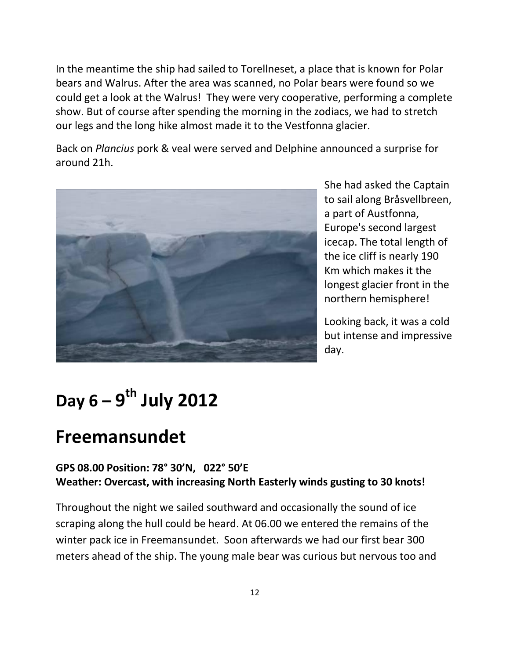In the meantime the ship had sailed to Torellneset, a place that is known for Polar bears and Walrus. After the area was scanned, no Polar bears were found so we could get a look at the Walrus! They were very cooperative, performing a complete show. But of course after spending the morning in the zodiacs, we had to stretch our legs and the long hike almost made it to the Vestfonna glacier.

Back on *Plancius* pork & veal were served and Delphine announced a surprise for around 21h.



She had asked the Captain to sail along Bråsvellbreen, a part of Austfonna, Europe's second largest icecap. The total length of the ice cliff is nearly 190 Km which makes it the longest glacier front in the northern hemisphere!

Looking back, it was a cold but intense and impressive day.

## **Day 6 – 9 th July 2012**

### **Freemansundet**

#### **GPS 08.00 Position: 78° 30'N, 022° 50'E Weather: Overcast, with increasing North Easterly winds gusting to 30 knots!**

Throughout the night we sailed southward and occasionally the sound of ice scraping along the hull could be heard. At 06.00 we entered the remains of the winter pack ice in Freemansundet. Soon afterwards we had our first bear 300 meters ahead of the ship. The young male bear was curious but nervous too and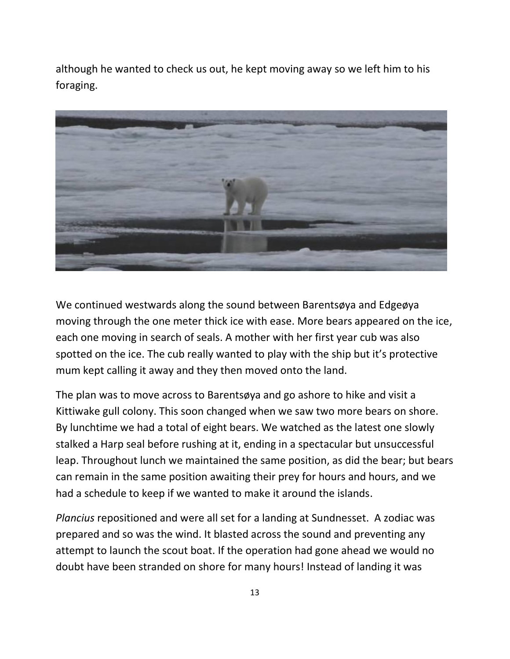although he wanted to check us out, he kept moving away so we left him to his foraging.



We continued westwards along the sound between Barentsøya and Edgeøya moving through the one meter thick ice with ease. More bears appeared on the ice, each one moving in search of seals. A mother with her first year cub was also spotted on the ice. The cub really wanted to play with the ship but it's protective mum kept calling it away and they then moved onto the land.

The plan was to move across to Barentsøya and go ashore to hike and visit a Kittiwake gull colony. This soon changed when we saw two more bears on shore. By lunchtime we had a total of eight bears. We watched as the latest one slowly stalked a Harp seal before rushing at it, ending in a spectacular but unsuccessful leap. Throughout lunch we maintained the same position, as did the bear; but bears can remain in the same position awaiting their prey for hours and hours, and we had a schedule to keep if we wanted to make it around the islands.

*Plancius* repositioned and were all set for a landing at Sundnesset. A zodiac was prepared and so was the wind. It blasted across the sound and preventing any attempt to launch the scout boat. If the operation had gone ahead we would no doubt have been stranded on shore for many hours! Instead of landing it was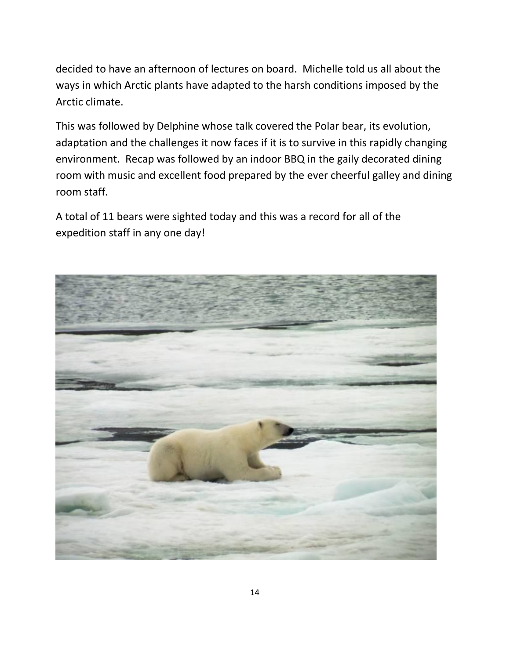decided to have an afternoon of lectures on board. Michelle told us all about the ways in which Arctic plants have adapted to the harsh conditions imposed by the Arctic climate.

This was followed by Delphine whose talk covered the Polar bear, its evolution, adaptation and the challenges it now faces if it is to survive in this rapidly changing environment. Recap was followed by an indoor BBQ in the gaily decorated dining room with music and excellent food prepared by the ever cheerful galley and dining room staff.

A total of 11 bears were sighted today and this was a record for all of the expedition staff in any one day!

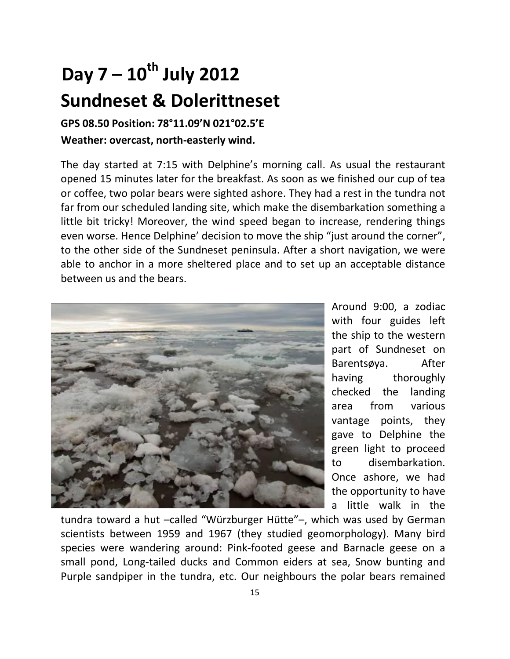## **Day 7 – 10th July 2012 Sundneset & Dolerittneset**

#### **GPS 08.50 Position: 78°11.09'N 021°02.5'E Weather: overcast, north-easterly wind.**

The day started at 7:15 with Delphine's morning call. As usual the restaurant opened 15 minutes later for the breakfast. As soon as we finished our cup of tea or coffee, two polar bears were sighted ashore. They had a rest in the tundra not far from our scheduled landing site, which make the disembarkation something a little bit tricky! Moreover, the wind speed began to increase, rendering things even worse. Hence Delphine' decision to move the ship "just around the corner", to the other side of the Sundneset peninsula. After a short navigation, we were able to anchor in a more sheltered place and to set up an acceptable distance between us and the bears.



Around 9:00, a zodiac with four guides left the ship to the western part of Sundneset on Barentsøya. After having thoroughly checked the landing area from various vantage points, they gave to Delphine the green light to proceed to disembarkation. Once ashore, we had the opportunity to have a little walk in the

tundra toward a hut –called "Würzburger Hütte"–, which was used by German scientists between 1959 and 1967 (they studied geomorphology). Many bird species were wandering around: Pink-footed geese and Barnacle geese on a small pond, Long-tailed ducks and Common eiders at sea, Snow bunting and Purple sandpiper in the tundra, etc. Our neighbours the polar bears remained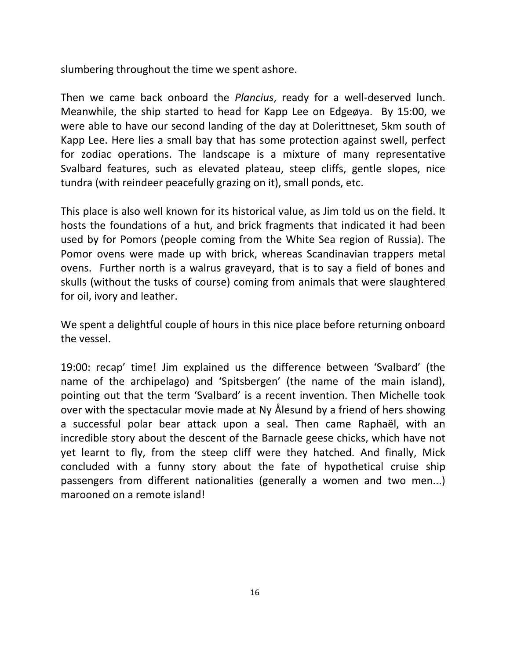slumbering throughout the time we spent ashore.

Then we came back onboard the *Plancius*, ready for a well-deserved lunch. Meanwhile, the ship started to head for Kapp Lee on Edgeøya. By 15:00, we were able to have our second landing of the day at Dolerittneset, 5km south of Kapp Lee. Here lies a small bay that has some protection against swell, perfect for zodiac operations. The landscape is a mixture of many representative Svalbard features, such as elevated plateau, steep cliffs, gentle slopes, nice tundra (with reindeer peacefully grazing on it), small ponds, etc.

This place is also well known for its historical value, as Jim told us on the field. It hosts the foundations of a hut, and brick fragments that indicated it had been used by for Pomors (people coming from the White Sea region of Russia). The Pomor ovens were made up with brick, whereas Scandinavian trappers metal ovens. Further north is a walrus graveyard, that is to say a field of bones and skulls (without the tusks of course) coming from animals that were slaughtered for oil, ivory and leather.

We spent a delightful couple of hours in this nice place before returning onboard the vessel.

19:00: recap' time! Jim explained us the difference between 'Svalbard' (the name of the archipelago) and 'Spitsbergen' (the name of the main island), pointing out that the term 'Svalbard' is a recent invention. Then Michelle took over with the spectacular movie made at Ny Ålesund by a friend of hers showing a successful polar bear attack upon a seal. Then came Raphaël, with an incredible story about the descent of the Barnacle geese chicks, which have not yet learnt to fly, from the steep cliff were they hatched. And finally, Mick concluded with a funny story about the fate of hypothetical cruise ship passengers from different nationalities (generally a women and two men...) marooned on a remote island!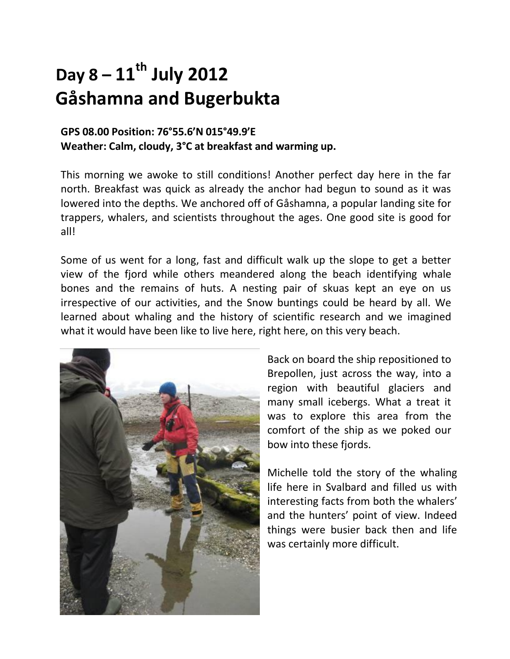### **Day 8 – 11th July 2012 Gåshamna and Bugerbukta**

#### **GPS 08.00 Position: 76°55.6'N 015°49.9'E Weather: Calm, cloudy, 3°C at breakfast and warming up.**

This morning we awoke to still conditions! Another perfect day here in the far north. Breakfast was quick as already the anchor had begun to sound as it was lowered into the depths. We anchored off of Gåshamna, a popular landing site for trappers, whalers, and scientists throughout the ages. One good site is good for all!

Some of us went for a long, fast and difficult walk up the slope to get a better view of the fjord while others meandered along the beach identifying whale bones and the remains of huts. A nesting pair of skuas kept an eye on us irrespective of our activities, and the Snow buntings could be heard by all. We learned about whaling and the history of scientific research and we imagined what it would have been like to live here, right here, on this very beach.



Back on board the ship repositioned to Brepollen, just across the way, into a region with beautiful glaciers and many small icebergs. What a treat it was to explore this area from the comfort of the ship as we poked our bow into these fjords.

Michelle told the story of the whaling life here in Svalbard and filled us with interesting facts from both the whalers' and the hunters' point of view. Indeed things were busier back then and life was certainly more difficult.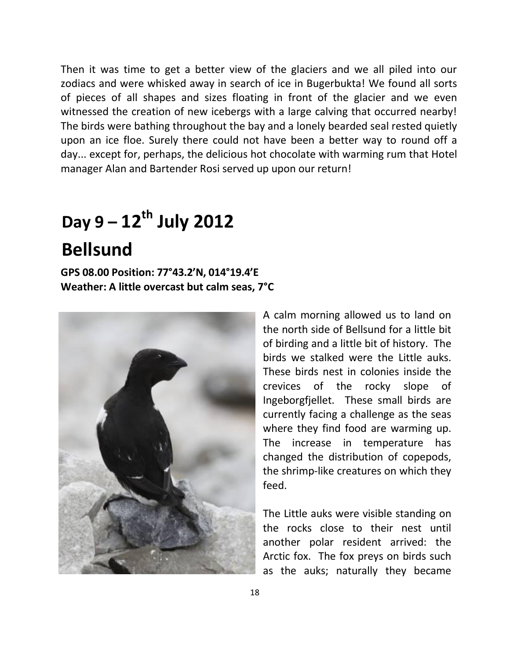Then it was time to get a better view of the glaciers and we all piled into our zodiacs and were whisked away in search of ice in Bugerbukta! We found all sorts of pieces of all shapes and sizes floating in front of the glacier and we even witnessed the creation of new icebergs with a large calving that occurred nearby! The birds were bathing throughout the bay and a lonely bearded seal rested quietly upon an ice floe. Surely there could not have been a better way to round off a day... except for, perhaps, the delicious hot chocolate with warming rum that Hotel manager Alan and Bartender Rosi served up upon our return!

## **Day 9 – 12th July 2012 Bellsund**

**GPS 08.00 Position: 77°43.2'N, 014°19.4'E Weather: A little overcast but calm seas, 7°C**



A calm morning allowed us to land on the north side of Bellsund for a little bit of birding and a little bit of history. The birds we stalked were the Little auks. These birds nest in colonies inside the crevices of the rocky slope of Ingeborgfjellet. These small birds are currently facing a challenge as the seas where they find food are warming up. The increase in temperature has changed the distribution of copepods, the shrimp-like creatures on which they feed.

The Little auks were visible standing on the rocks close to their nest until another polar resident arrived: the Arctic fox. The fox preys on birds such as the auks; naturally they became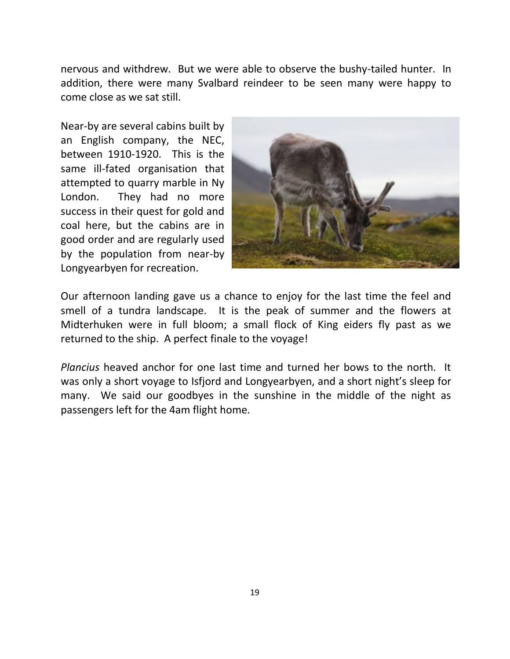nervous and withdrew. But we were able to observe the bushy-tailed hunter. In addition, there were many Svalbard reindeer to be seen many were happy to come close as we sat still.

Near-by are several cabins built by an English company, the NEC, between 1910-1920. This is the same ill-fated organisation that attempted to quarry marble in Ny London. They had no more success in their quest for gold and coal here, but the cabins are in good order and are regularly used by the population from near-by Longyearbyen for recreation.



Our afternoon landing gave us a chance to enjoy for the last time the feel and smell of a tundra landscape. It is the peak of summer and the flowers at Midterhuken were in full bloom; a small flock of King eiders fly past as we returned to the ship. A perfect finale to the voyage!

*Plancius* heaved anchor for one last time and turned her bows to the north. It was only a short voyage to Isfjord and Longyearbyen, and a short night's sleep for many. We said our goodbyes in the sunshine in the middle of the night as passengers left for the 4am flight home.